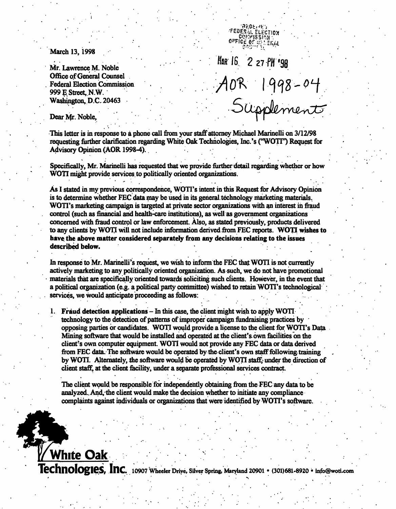March 13, 1998

Mr. Lawrence M. Noble Office of General Counsel . Federal Election Commission , 999 E Street, N.W. Washington, D.C. 20463 .  $20 - 0.5$ 

HAR 16 2 27 PM '98 AOR 1998-04<br>Supplement

FEDER JL ELECTION  $0$   $\mathsf{PPICE}[0]$  .  $0$   $\mathsf{CPICE}[0]$ 

Dear Mr. Noble,

White Oak

This letter is in response to a phone call from your staff attorney Michael Marinelli on 3/12/98 requesting further clarification regarding White Oak Technologies, Inc.'s ("WOTI") Request for Advisory Opinion (AOR 1998-4). .

, . \_

Specifically, Mr. Marinelli has requested that we provide further-detail regarding whether or how WOTI might provide services to politically oriented organizations.

As I stated in my previous correspondence, WOTI's intent in this Request for Advisory Opinion is to determine whether FEC data may be used in its general technology marketing materials. WOTI's marketing campaign is targeted at private sector organizations with an interest in fraud control (such as financial and health-care institutions), as well as government organizations concerned with fraud control or law enforcement. Also, as stated previously, products delivered to any clients by WOTI will not include information derived from FEC reports. WOTI wishes to have the above matter considered separately from any decisions relating to the issues described below.

In response to Mr. Marinelli's request, we wish to inform the FEC that WOTI is not currently actively marketing to any politically oriented organization. As such, we do not have promotional materials that are specifically oriented towards soliciting such clients. However, in the event that a political organization (e.g. a political party committee) wished to retain WOTI's technological ; services, we would anticipate proceeding as follows:

1. Fraud detection applications – In this case, the client might wish to apply WOTI. technology to the detection of patterns of improper campaign fundraising practices by opposing parties or candidates. WOTI would provide a license to the client for WOTI's Data Mining software that would be installed and operated at the client's own facilities on the client's own computer equipment. WOTI would not provide any FEC data or data derived from FEC data. The software would be operated by the client's own staff following training by WOTI. Alternately, the software would be operated by WOTI staff; under the direction of client staff, at the client facility, under a separate professional services contract.

The client would be responsible for independently obtaining from the FEC any data to be analyzed.. And, the client would make the decision whether to initiate any compliance complaints against individuals or organizations that were identified by WOTI's software.

 ${\bf Technology}$  is a composite  ${\bf Inc.}$  10907 Wheeler Drive, Silver Spring, Maryland 20901 • (301)681-8920 • info@woti.com